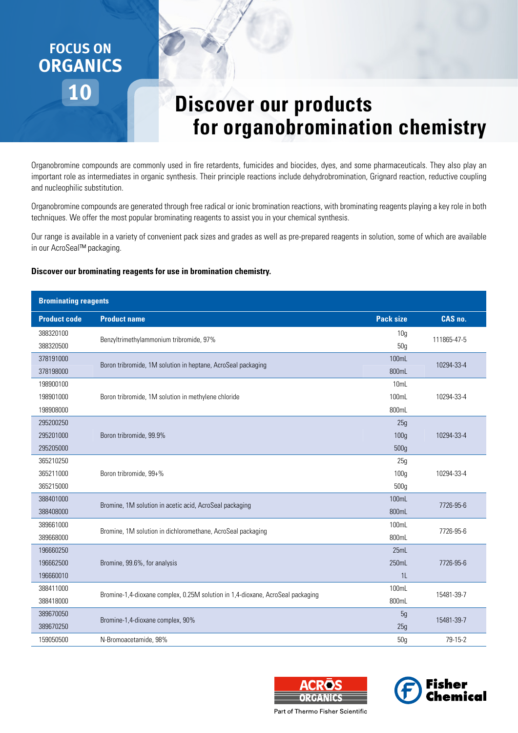## **10 FOCUS ON ORGANICS**

## **Discover our products for organobromination chemistry**

Organobromine compounds are commonly used in fire retardents, fumicides and biocides, dyes, and some pharmaceuticals. They also play an important role as intermediates in organic synthesis. Their principle reactions include dehydrobromination, Grignard reaction, reductive coupling and nucleophilic substitution.

Organobromine compounds are generated through free radical or ionic bromination reactions, with brominating reagents playing a key role in both techniques. We offer the most popular brominating reagents to assist you in your chemical synthesis.

Our range is available in a variety of convenient pack sizes and grades as well as pre-prepared reagents in solution, some of which are available in our AcroSeal™ packaging.

**Discover our brominating reagents for use in bromination chemistry.**

## **Brominating reagents**

| <b>Product code</b> | <b>Product name</b>                                                            | <b>Pack size</b> | CAS no.     |  |  |  |
|---------------------|--------------------------------------------------------------------------------|------------------|-------------|--|--|--|
| 388320100           | Benzyltrimethylammonium tribromide, 97%                                        | 10 <sub>g</sub>  | 111865-47-5 |  |  |  |
| 388320500           |                                                                                | 50g              |             |  |  |  |
| 378191000           | Boron tribromide, 1M solution in heptane, AcroSeal packaging                   | 100mL            | 10294-33-4  |  |  |  |
| 378198000           |                                                                                | 800mL            |             |  |  |  |
| 198900100           |                                                                                | 10mL             |             |  |  |  |
| 198901000           | Boron tribromide, 1M solution in methylene chloride                            | 100mL            | 10294-33-4  |  |  |  |
| 198908000           |                                                                                | 800mL            |             |  |  |  |
| 295200250           | Boron tribromide, 99.9%                                                        | 25g              |             |  |  |  |
| 295201000           |                                                                                | 100 <sub>g</sub> | 10294-33-4  |  |  |  |
| 295205000           |                                                                                | 500g             |             |  |  |  |
| 365210250           |                                                                                | 25g              |             |  |  |  |
| 365211000           | Boron tribromide, 99+%                                                         | 100 <sub>g</sub> | 10294-33-4  |  |  |  |
| 365215000           |                                                                                | 500g             |             |  |  |  |
| 388401000           | Bromine, 1M solution in acetic acid, AcroSeal packaging                        | 100mL            | 7726-95-6   |  |  |  |
| 388408000           |                                                                                | 800mL            |             |  |  |  |
| 389661000           | Bromine, 1M solution in dichloromethane, AcroSeal packaging                    | 100mL            | 7726-95-6   |  |  |  |
| 389668000           |                                                                                | 800mL            |             |  |  |  |
| 196660250           |                                                                                | 25mL             |             |  |  |  |
| 196662500           | Bromine, 99.6%, for analysis                                                   | 250mL            | 7726-95-6   |  |  |  |
| 196660010           |                                                                                | 1 <sub>L</sub>   |             |  |  |  |
| 388411000           | Bromine-1,4-dioxane complex, 0.25M solution in 1,4-dioxane, AcroSeal packaging | 100mL            | 15481-39-7  |  |  |  |
| 388418000           |                                                                                | 800mL            |             |  |  |  |
| 389670050           | Bromine-1,4-dioxane complex, 90%                                               | 5g               | 15481-39-7  |  |  |  |
| 389670250           |                                                                                | 25g              |             |  |  |  |
| 159050500           | N-Bromoacetamide, 98%                                                          | 50g              | 79-15-2     |  |  |  |





Part of Thermo Fisher Scientific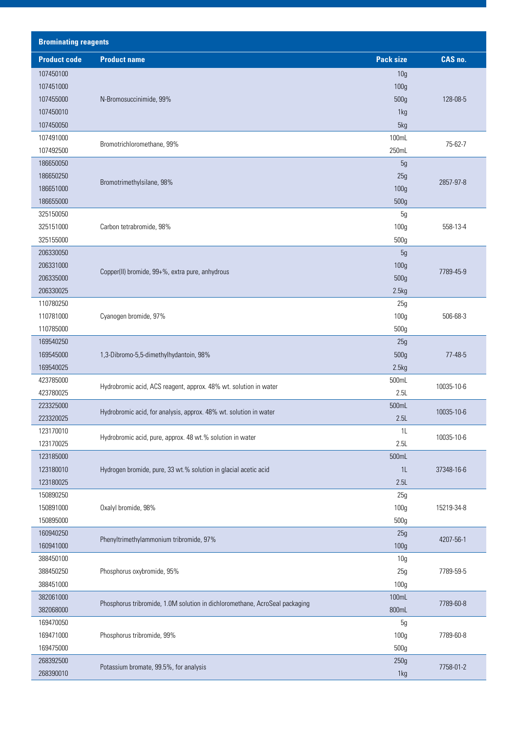| <b>Brominating reagents</b> |                                                                             |                  |            |  |  |  |
|-----------------------------|-----------------------------------------------------------------------------|------------------|------------|--|--|--|
| <b>Product code</b>         | <b>Product name</b>                                                         | <b>Pack size</b> | CAS no.    |  |  |  |
| 107450100                   |                                                                             | 10 <sub>g</sub>  |            |  |  |  |
| 107451000                   |                                                                             | 100g             |            |  |  |  |
| 107455000                   | N-Bromosuccinimide, 99%                                                     | 500g             | 128-08-5   |  |  |  |
| 107450010                   |                                                                             | 1kg              |            |  |  |  |
| 107450050                   |                                                                             | 5kg              |            |  |  |  |
| 107491000                   | Bromotrichloromethane, 99%                                                  | 100mL            | 75-62-7    |  |  |  |
| 107492500                   |                                                                             | 250mL            |            |  |  |  |
| 186650050                   |                                                                             | 5g               |            |  |  |  |
| 186650250                   | Bromotrimethylsilane, 98%                                                   | 25g              | 2857-97-8  |  |  |  |
| 186651000                   |                                                                             | 100 <sub>g</sub> |            |  |  |  |
| 186655000                   |                                                                             | 500g             |            |  |  |  |
| 325150050                   |                                                                             | 5g               |            |  |  |  |
| 325151000                   | Carbon tetrabromide, 98%                                                    | 100 <sub>g</sub> | 558-13-4   |  |  |  |
| 325155000                   |                                                                             | 500g             |            |  |  |  |
| 206330050                   |                                                                             | 5g               |            |  |  |  |
| 206331000                   | Copper(II) bromide, 99+%, extra pure, anhydrous                             | 100g             | 7789-45-9  |  |  |  |
| 206335000                   |                                                                             | 500g             |            |  |  |  |
| 206330025                   |                                                                             | 2.5kg            |            |  |  |  |
| 110780250                   |                                                                             | 25g              |            |  |  |  |
| 110781000                   | Cyanogen bromide, 97%                                                       | 100g             | 506-68-3   |  |  |  |
| 110785000                   |                                                                             | 500g             |            |  |  |  |
| 169540250<br>169545000      |                                                                             | 25g              | 77-48-5    |  |  |  |
| 169540025                   | 1,3-Dibromo-5,5-dimethylhydantoin, 98%                                      | 500g<br>2.5kg    |            |  |  |  |
| 423785000                   |                                                                             | 500mL            |            |  |  |  |
| 423780025                   | Hydrobromic acid, ACS reagent, approx. 48% wt. solution in water            | 2.5L             | 10035-10-6 |  |  |  |
| 223325000                   |                                                                             | 500mL            |            |  |  |  |
| 223320025                   | Hydrobromic acid, for analysis, approx. 48% wt. solution in water           | 2.5L             | 10035-10-6 |  |  |  |
| 123170010                   |                                                                             | 1L               |            |  |  |  |
| 123170025                   | Hydrobromic acid, pure, approx. 48 wt.% solution in water                   | 2.5L             | 10035-10-6 |  |  |  |
| 123185000                   |                                                                             | 500mL            |            |  |  |  |
| 123180010                   | Hydrogen bromide, pure, 33 wt.% solution in glacial acetic acid             | 1L               | 37348-16-6 |  |  |  |
| 123180025                   |                                                                             | 2.5L             |            |  |  |  |
| 150890250                   |                                                                             | 25g              |            |  |  |  |
| 150891000                   | Oxalyl bromide, 98%                                                         | 100 <sub>g</sub> | 15219-34-8 |  |  |  |
| 150895000                   |                                                                             | 500g             |            |  |  |  |
| 160940250                   | Phenyltrimethylammonium tribromide, 97%                                     | 25g              |            |  |  |  |
| 160941000                   |                                                                             | 100g             | 4207-56-1  |  |  |  |
| 388450100                   |                                                                             | 10 <sub>g</sub>  |            |  |  |  |
| 388450250                   | Phosphorus oxybromide, 95%                                                  | 25g              | 7789-59-5  |  |  |  |
| 388451000                   |                                                                             | 100 <sub>g</sub> |            |  |  |  |
| 382061000                   | Phosphorus tribromide, 1.0M solution in dichloromethane, AcroSeal packaging | 100mL            | 7789-60-8  |  |  |  |
| 382068000                   |                                                                             | 800mL            |            |  |  |  |
| 169470050                   |                                                                             | 5g               |            |  |  |  |
| 169471000                   | Phosphorus tribromide, 99%                                                  | 100g             | 7789-60-8  |  |  |  |
| 169475000                   |                                                                             | 500g             |            |  |  |  |
| 268392500                   | Potassium bromate, 99.5%, for analysis                                      | 250g             | 7758-01-2  |  |  |  |
| 268390010                   |                                                                             | 1kg              |            |  |  |  |